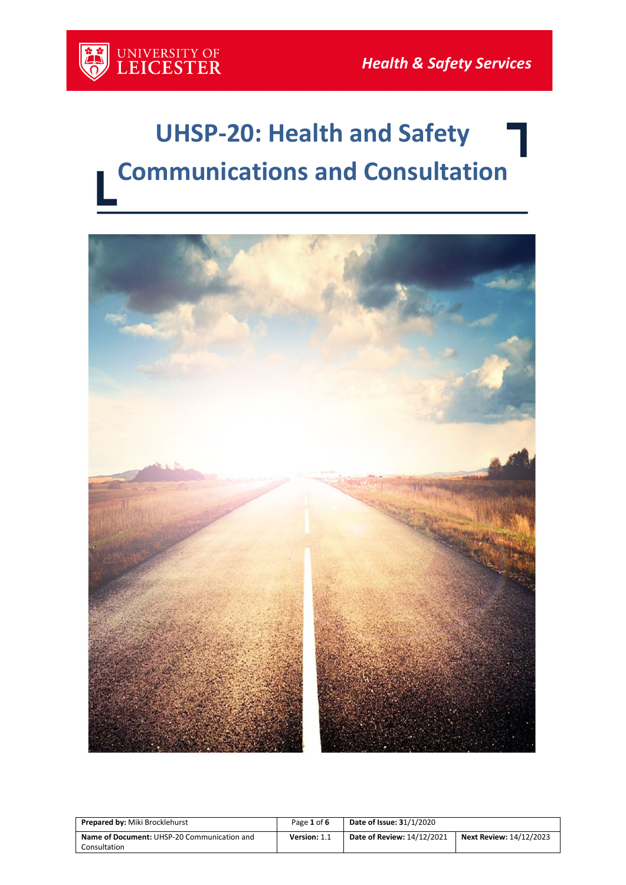

# **UHSP-20: Health and Safety Communications and Consultation**



| <b>Prepared by: Miki Brocklehurst</b>                       | Page 1 of 6  | <b>Date of Issue: 31/1/2020</b> |                                |
|-------------------------------------------------------------|--------------|---------------------------------|--------------------------------|
| Name of Document: UHSP-20 Communication and<br>Consultation | Version: 1.1 | Date of Review: 14/12/2021      | <b>Next Review: 14/12/2023</b> |
|                                                             |              |                                 |                                |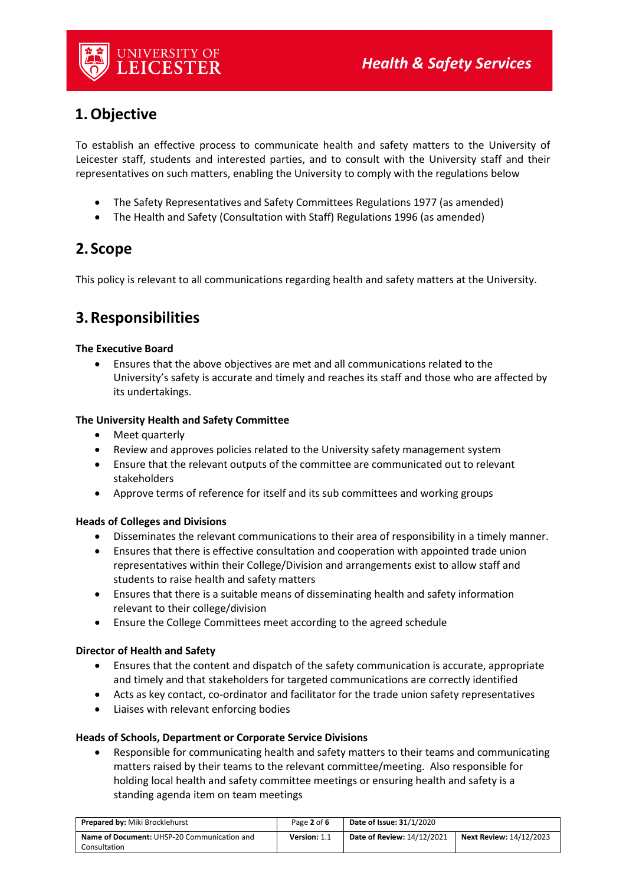

# **1.Objective**

To establish an effective process to communicate health and safety matters to the University of Leicester staff, students and interested parties, and to consult with the University staff and their representatives on such matters, enabling the University to comply with the regulations below

- The Safety Representatives and Safety Committees Regulations 1977 (as amended)
- The Health and Safety (Consultation with Staff) Regulations 1996 (as amended)

# **2.Scope**

This policy is relevant to all communications regarding health and safety matters at the University.

# **3.Responsibilities**

## **The Executive Board**

• Ensures that the above objectives are met and all communications related to the University's safety is accurate and timely and reaches its staff and those who are affected by its undertakings.

## **The University Health and Safety Committee**

- Meet quarterly
- Review and approves policies related to the University safety management system
- Ensure that the relevant outputs of the committee are communicated out to relevant stakeholders
- Approve terms of reference for itself and its sub committees and working groups

## **Heads of Colleges and Divisions**

- Disseminates the relevant communications to their area of responsibility in a timely manner.
- Ensures that there is effective consultation and cooperation with appointed trade union representatives within their College/Division and arrangements exist to allow staff and students to raise health and safety matters
- Ensures that there is a suitable means of disseminating health and safety information relevant to their college/division
- Ensure the College Committees meet according to the agreed schedule

#### **Director of Health and Safety**

- Ensures that the content and dispatch of the safety communication is accurate, appropriate and timely and that stakeholders for targeted communications are correctly identified
- Acts as key contact, co-ordinator and facilitator for the trade union safety representatives
- Liaises with relevant enforcing bodies

#### **Heads of Schools, Department or Corporate Service Divisions**

• Responsible for communicating health and safety matters to their teams and communicating matters raised by their teams to the relevant committee/meeting. Also responsible for holding local health and safety committee meetings or ensuring health and safety is a standing agenda item on team meetings

| <b>Prepared by: Miki Brocklehurst</b>       | Page 2 of 6         | <b>Date of Issue: 31/1/2020</b> |                                |
|---------------------------------------------|---------------------|---------------------------------|--------------------------------|
| Name of Document: UHSP-20 Communication and | <b>Version: 1.1</b> | Date of Review: 14/12/2021      | <b>Next Review: 14/12/2023</b> |
| Consultation                                |                     |                                 |                                |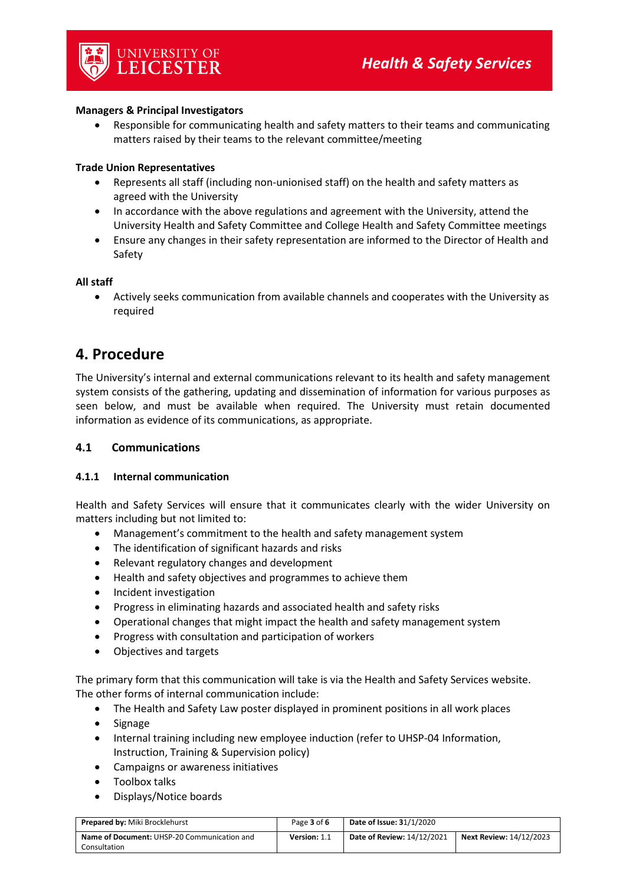#### **Managers & Principal Investigators**

UNIVERSITY OF<br>LEICESTER

• Responsible for communicating health and safety matters to their teams and communicating matters raised by their teams to the relevant committee/meeting

#### **Trade Union Representatives**

- Represents all staff (including non-unionised staff) on the health and safety matters as agreed with the University
- In accordance with the above regulations and agreement with the University, attend the University Health and Safety Committee and College Health and Safety Committee meetings
- Ensure any changes in their safety representation are informed to the Director of Health and Safety

#### **All staff**

• Actively seeks communication from available channels and cooperates with the University as required

# **4. Procedure**

The University's internal and external communications relevant to its health and safety management system consists of the gathering, updating and dissemination of information for various purposes as seen below, and must be available when required. The University must retain documented information as evidence of its communications, as appropriate.

#### **4.1 Communications**

#### **4.1.1 Internal communication**

Health and Safety Services will ensure that it communicates clearly with the wider University on matters including but not limited to:

- Management's commitment to the health and safety management system
- The identification of significant hazards and risks
- Relevant regulatory changes and development
- Health and safety objectives and programmes to achieve them
- Incident investigation
- Progress in eliminating hazards and associated health and safety risks
- Operational changes that might impact the health and safety management system
- Progress with consultation and participation of workers
- Objectives and targets

The primary form that this communication will take is via the Health and Safety Services website. The other forms of internal communication include:

- The Health and Safety Law poster displayed in prominent positions in all work places
- Signage
- Internal training including new employee induction (refer to UHSP-04 Information, Instruction, Training & Supervision policy)
- Campaigns or awareness initiatives
- Toolbox talks
- Displays/Notice boards

| <b>Prepared by: Miki Brocklehurst</b>              | Page 3 of 6  | <b>Date of Issue: 31/1/2020</b>   |                                |
|----------------------------------------------------|--------------|-----------------------------------|--------------------------------|
| <b>Name of Document:</b> UHSP-20 Communication and | Version: 1.1 | <b>Date of Review: 14/12/2021</b> | <b>Next Review: 14/12/2023</b> |
| Consultation                                       |              |                                   |                                |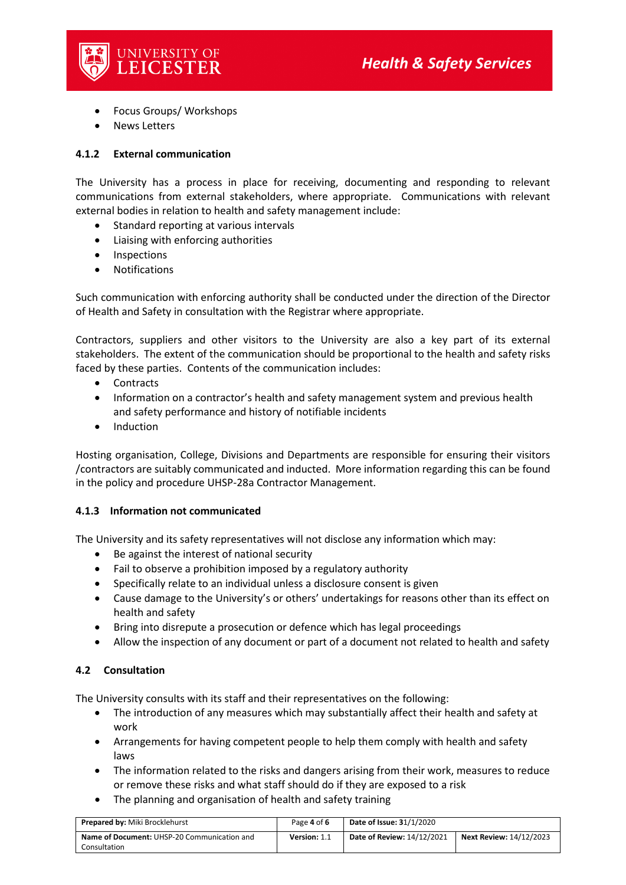

- Focus Groups/ Workshops
- News Letters

## **4.1.2 External communication**

The University has a process in place for receiving, documenting and responding to relevant communications from external stakeholders, where appropriate. Communications with relevant external bodies in relation to health and safety management include:

- Standard reporting at various intervals
- Liaising with enforcing authorities
- Inspections
- Notifications

Such communication with enforcing authority shall be conducted under the direction of the Director of Health and Safety in consultation with the Registrar where appropriate.

Contractors, suppliers and other visitors to the University are also a key part of its external stakeholders. The extent of the communication should be proportional to the health and safety risks faced by these parties. Contents of the communication includes:

- Contracts
- Information on a contractor's health and safety management system and previous health and safety performance and history of notifiable incidents
- Induction

Hosting organisation, College, Divisions and Departments are responsible for ensuring their visitors /contractors are suitably communicated and inducted. More information regarding this can be found in the policy and procedure UHSP-28a Contractor Management.

#### **4.1.3 Information not communicated**

The University and its safety representatives will not disclose any information which may:

- Be against the interest of national security
- Fail to observe a prohibition imposed by a regulatory authority
- Specifically relate to an individual unless a disclosure consent is given
- Cause damage to the University's or others' undertakings for reasons other than its effect on health and safety
- Bring into disrepute a prosecution or defence which has legal proceedings
- Allow the inspection of any document or part of a document not related to health and safety

## **4.2 Consultation**

The University consults with its staff and their representatives on the following:

- The introduction of any measures which may substantially affect their health and safety at work
- Arrangements for having competent people to help them comply with health and safety laws
- The information related to the risks and dangers arising from their work, measures to reduce or remove these risks and what staff should do if they are exposed to a risk
- The planning and organisation of health and safety training

| <b>Prepared by: Miki Brocklehurst</b>              | Page 4 of 6  | <b>Date of Issue: 31/1/2020</b>   |                                |
|----------------------------------------------------|--------------|-----------------------------------|--------------------------------|
| <b>Name of Document: UHSP-20 Communication and</b> | Version: 1.1 | <b>Date of Review: 14/12/2021</b> | <b>Next Review: 14/12/2023</b> |
| Consultation                                       |              |                                   |                                |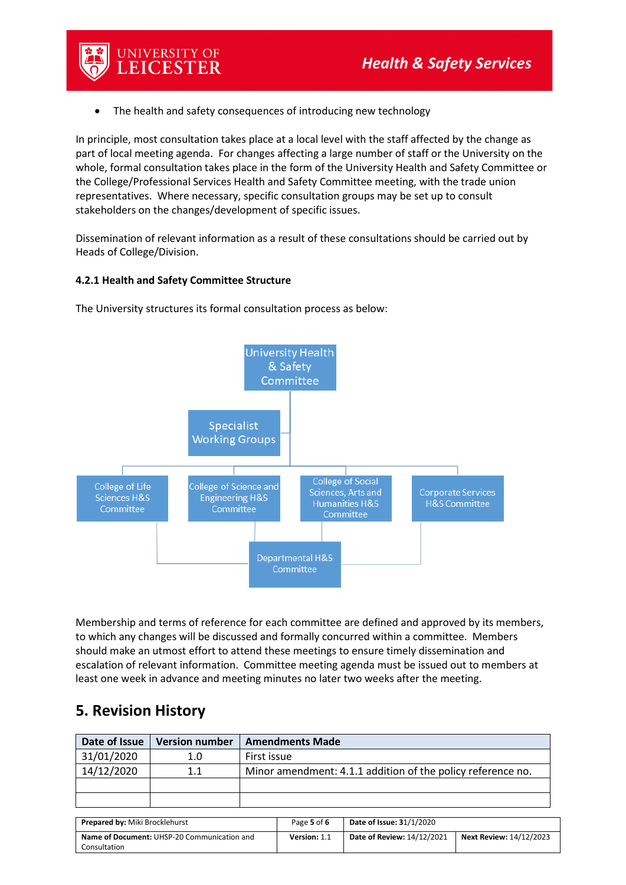

In principle, most consultation takes place at a local level with the staff affected by the change as part of local meeting agenda. For changes affecting a large number of staff or the University on the whole, formal consultation takes place in the form of the University Health and Safety Committee or the College/Professional Services Health and Safety Committee meeting, with the trade union representatives. Where necessary, specific consultation groups may be set up to consult stakeholders on the changes/development of specific issues.

Dissemination of relevant information as a result of these consultations should be carried out by Heads of College/Division.

### **4.2.1 Health and Safety Committee Structure**

UNIVERSITY OF LEICESTER



The University structures its formal consultation process as below:

Membership and terms of reference for each committee are defined and approved by its members, to which any changes will be discussed and formally concurred within a committee. Members should make an utmost effort to attend these meetings to ensure timely dissemination and escalation of relevant information. Committee meeting agenda must be issued out to members at least one week in advance and meeting minutes no later two weeks after the meeting.

# **5. Revision History**

| Date of Issue                  | <b>Version number</b>                       | <b>Amendments Made</b> |                                                             |                            |                                |
|--------------------------------|---------------------------------------------|------------------------|-------------------------------------------------------------|----------------------------|--------------------------------|
| 31/01/2020                     | 1.0                                         | First issue            |                                                             |                            |                                |
| 14/12/2020                     | 1.1                                         |                        | Minor amendment: 4.1.1 addition of the policy reference no. |                            |                                |
|                                |                                             |                        |                                                             |                            |                                |
|                                |                                             |                        |                                                             |                            |                                |
|                                |                                             |                        |                                                             |                            |                                |
| Prepared by: Miki Brocklehurst |                                             |                        | Page 5 of 6                                                 | Date of Issue: 31/1/2020   |                                |
|                                | Name of Document: UHSP-20 Communication and |                        | Version: 1.1                                                | Date of Review: 14/12/2021 | <b>Next Review: 14/12/2023</b> |
| Consultation                   |                                             |                        |                                                             |                            |                                |
|                                |                                             |                        |                                                             |                            |                                |